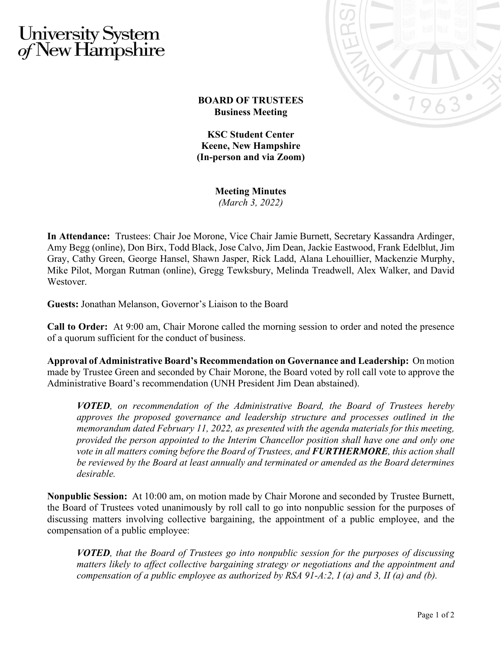## University System<br>of New Hampshire



## **BOARD OF TRUSTEES Business Meeting**

**KSC Student Center Keene, New Hampshire (In-person and via Zoom)**

**Meeting Minutes**

*(March 3, 2022)*

**In Attendance:** Trustees: Chair Joe Morone, Vice Chair Jamie Burnett, Secretary Kassandra Ardinger, Amy Begg (online), Don Birx, Todd Black, Jose Calvo, Jim Dean, Jackie Eastwood, Frank Edelblut, Jim Gray, Cathy Green, George Hansel, Shawn Jasper, Rick Ladd, Alana Lehouillier, Mackenzie Murphy, Mike Pilot, Morgan Rutman (online), Gregg Tewksbury, Melinda Treadwell, Alex Walker, and David Westover.

**Guests:** Jonathan Melanson, Governor's Liaison to the Board

**Call to Order:** At 9:00 am, Chair Morone called the morning session to order and noted the presence of a quorum sufficient for the conduct of business.

**Approval of Administrative Board's Recommendation on Governance and Leadership:** On motion made by Trustee Green and seconded by Chair Morone, the Board voted by roll call vote to approve the Administrative Board's recommendation (UNH President Jim Dean abstained).

*VOTED, on recommendation of the Administrative Board, the Board of Trustees hereby approves the proposed governance and leadership structure and processes outlined in the memorandum dated February 11, 2022, as presented with the agenda materials for this meeting, provided the person appointed to the Interim Chancellor position shall have one and only one vote in all matters coming before the Board of Trustees, and FURTHERMORE, this action shall be reviewed by the Board at least annually and terminated or amended as the Board determines desirable.*

**Nonpublic Session:** At 10:00 am, on motion made by Chair Morone and seconded by Trustee Burnett, the Board of Trustees voted unanimously by roll call to go into nonpublic session for the purposes of discussing matters involving collective bargaining, the appointment of a public employee, and the compensation of a public employee:

*VOTED, that the Board of Trustees go into nonpublic session for the purposes of discussing matters likely to affect collective bargaining strategy or negotiations and the appointment and compensation of a public employee as authorized by RSA 91-A:2, I (a) and 3, II (a) and (b).*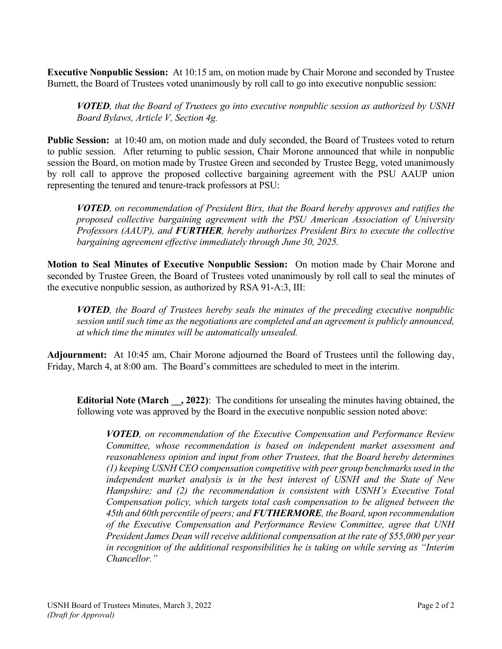**Executive Nonpublic Session:** At 10:15 am, on motion made by Chair Morone and seconded by Trustee Burnett, the Board of Trustees voted unanimously by roll call to go into executive nonpublic session:

*VOTED, that the Board of Trustees go into executive nonpublic session as authorized by USNH Board Bylaws, Article V, Section 4g.*

**Public Session:** at 10:40 am, on motion made and duly seconded, the Board of Trustees voted to return to public session. After returning to public session, Chair Morone announced that while in nonpublic session the Board, on motion made by Trustee Green and seconded by Trustee Begg, voted unanimously by roll call to approve the proposed collective bargaining agreement with the PSU AAUP union representing the tenured and tenure-track professors at PSU:

*VOTED, on recommendation of President Birx, that the Board hereby approves and ratifies the proposed collective bargaining agreement with the PSU American Association of University Professors (AAUP), and FURTHER, hereby authorizes President Birx to execute the collective bargaining agreement effective immediately through June 30, 2025.*

**Motion to Seal Minutes of Executive Nonpublic Session:** On motion made by Chair Morone and seconded by Trustee Green, the Board of Trustees voted unanimously by roll call to seal the minutes of the executive nonpublic session, as authorized by RSA 91-A:3, III:

*VOTED, the Board of Trustees hereby seals the minutes of the preceding executive nonpublic session until such time as the negotiations are completed and an agreement is publicly announced, at which time the minutes will be automatically unsealed.*

**Adjournment:** At 10:45 am, Chair Morone adjourned the Board of Trustees until the following day, Friday, March 4, at 8:00 am. The Board's committees are scheduled to meet in the interim.

**Editorial Note (March \_\_, 2022)**: The conditions for unsealing the minutes having obtained, the following vote was approved by the Board in the executive nonpublic session noted above:

*VOTED, on recommendation of the Executive Compensation and Performance Review Committee, whose recommendation is based on independent market assessment and reasonableness opinion and input from other Trustees, that the Board hereby determines (1) keeping USNH CEO compensation competitive with peer group benchmarks used in the independent market analysis is in the best interest of USNH and the State of New Hampshire; and (2) the recommendation is consistent with USNH's Executive Total Compensation policy, which targets total cash compensation to be aligned between the 45th and 60th percentile of peers; and FUTHERMORE, the Board, upon recommendation of the Executive Compensation and Performance Review Committee, agree that UNH President James Dean will receive additional compensation at the rate of \$55,000 per year in recognition of the additional responsibilities he is taking on while serving as "Interim Chancellor."*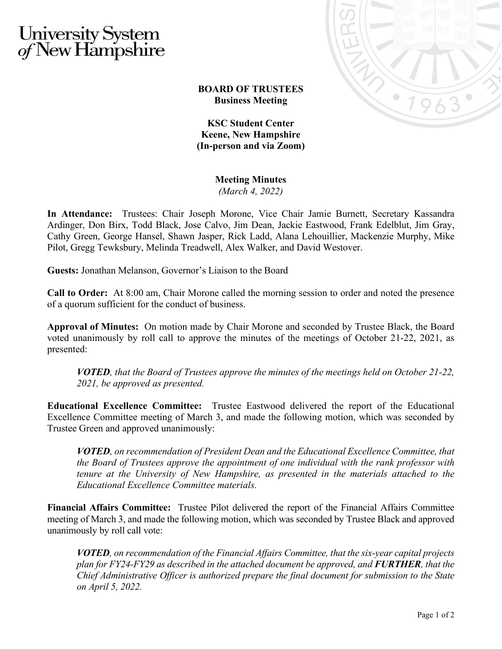## University System<br>of New Hampshire



## **BOARD OF TRUSTEES Business Meeting**

**KSC Student Center Keene, New Hampshire (In-person and via Zoom)**

**Meeting Minutes**

*(March 4, 2022)*

**In Attendance:** Trustees: Chair Joseph Morone, Vice Chair Jamie Burnett, Secretary Kassandra Ardinger, Don Birx, Todd Black, Jose Calvo, Jim Dean, Jackie Eastwood, Frank Edelblut, Jim Gray, Cathy Green, George Hansel, Shawn Jasper, Rick Ladd, Alana Lehouillier, Mackenzie Murphy, Mike Pilot, Gregg Tewksbury, Melinda Treadwell, Alex Walker, and David Westover.

**Guests:** Jonathan Melanson, Governor's Liaison to the Board

**Call to Order:** At 8:00 am, Chair Morone called the morning session to order and noted the presence of a quorum sufficient for the conduct of business.

**Approval of Minutes:** On motion made by Chair Morone and seconded by Trustee Black, the Board voted unanimously by roll call to approve the minutes of the meetings of October 21-22, 2021, as presented:

*VOTED, that the Board of Trustees approve the minutes of the meetings held on October 21-22, 2021, be approved as presented.*

**Educational Excellence Committee:** Trustee Eastwood delivered the report of the Educational Excellence Committee meeting of March 3, and made the following motion, which was seconded by Trustee Green and approved unanimously:

*VOTED, on recommendation of President Dean and the Educational Excellence Committee, that the Board of Trustees approve the appointment of one individual with the rank professor with tenure at the University of New Hampshire, as presented in the materials attached to the Educational Excellence Committee materials.*

**Financial Affairs Committee:** Trustee Pilot delivered the report of the Financial Affairs Committee meeting of March 3, and made the following motion, which was seconded by Trustee Black and approved unanimously by roll call vote:

*VOTED, on recommendation of the Financial Affairs Committee, that the six-year capital projects plan for FY24-FY29 as described in the attached document be approved, and FURTHER, that the Chief Administrative Officer is authorized prepare the final document for submission to the State on April 5, 2022.*